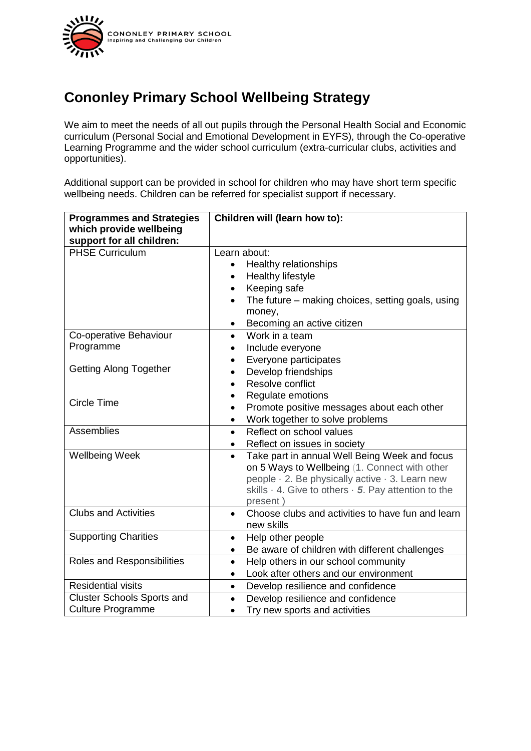

## **Cononley Primary School Wellbeing Strategy**

We aim to meet the needs of all out pupils through the Personal Health Social and Economic curriculum (Personal Social and Emotional Development in EYFS), through the Co-operative Learning Programme and the wider school curriculum (extra-curricular clubs, activities and opportunities).

Additional support can be provided in school for children who may have short term specific wellbeing needs. Children can be referred for specialist support if necessary.

| <b>Programmes and Strategies</b>  | Children will (learn how to):                                                |
|-----------------------------------|------------------------------------------------------------------------------|
| which provide wellbeing           |                                                                              |
| support for all children:         |                                                                              |
| <b>PHSE Curriculum</b>            | Learn about:                                                                 |
|                                   | Healthy relationships<br>$\bullet$                                           |
|                                   | Healthy lifestyle<br>$\bullet$                                               |
|                                   | Keeping safe<br>$\bullet$                                                    |
|                                   | The future – making choices, setting goals, using<br>$\bullet$               |
|                                   | money,                                                                       |
|                                   | Becoming an active citizen<br>$\bullet$                                      |
| Co-operative Behaviour            | Work in a team<br>$\bullet$                                                  |
| Programme                         | Include everyone                                                             |
|                                   | Everyone participates                                                        |
| <b>Getting Along Together</b>     | Develop friendships                                                          |
|                                   | Resolve conflict<br>$\bullet$                                                |
| Circle Time                       | Regulate emotions                                                            |
|                                   | Promote positive messages about each other<br>$\bullet$                      |
|                                   | Work together to solve problems<br>$\bullet$                                 |
| Assemblies                        | Reflect on school values<br>$\bullet$                                        |
|                                   | Reflect on issues in society<br>$\bullet$                                    |
| <b>Wellbeing Week</b>             | Take part in annual Well Being Week and focus<br>$\bullet$                   |
|                                   | on 5 Ways to Wellbeing (1. Connect with other                                |
|                                   | people · 2. Be physically active · 3. Learn new                              |
|                                   | skills $\cdot$ 4. Give to others $\cdot$ 5. Pay attention to the<br>present) |
| <b>Clubs and Activities</b>       | Choose clubs and activities to have fun and learn<br>$\bullet$               |
|                                   | new skills                                                                   |
| <b>Supporting Charities</b>       | Help other people<br>٠                                                       |
|                                   | Be aware of children with different challenges<br>$\bullet$                  |
| Roles and Responsibilities        | Help others in our school community<br>$\bullet$                             |
|                                   | Look after others and our environment<br>$\bullet$                           |
| <b>Residential visits</b>         | Develop resilience and confidence<br>$\bullet$                               |
| <b>Cluster Schools Sports and</b> | Develop resilience and confidence<br>$\bullet$                               |
| <b>Culture Programme</b>          |                                                                              |
|                                   | Try new sports and activities                                                |